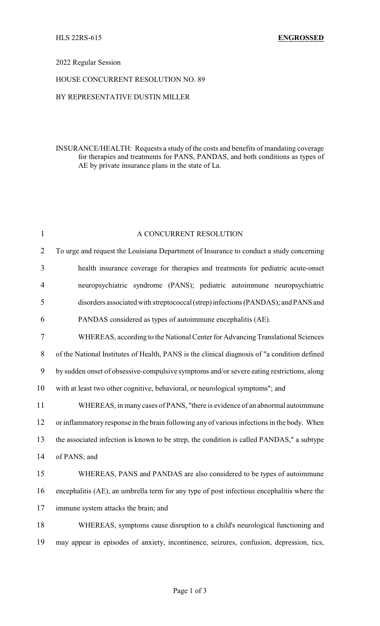### 2022 Regular Session

#### HOUSE CONCURRENT RESOLUTION NO. 89

## BY REPRESENTATIVE DUSTIN MILLER

## INSURANCE/HEALTH: Requests a study of the costs and benefits of mandating coverage for therapies and treatments for PANS, PANDAS, and both conditions as types of AE by private insurance plans in the state of La.

| $\mathbf{1}$   | A CONCURRENT RESOLUTION                                                                      |
|----------------|----------------------------------------------------------------------------------------------|
| $\overline{2}$ | To urge and request the Louisiana Department of Insurance to conduct a study concerning      |
| $\overline{3}$ | health insurance coverage for therapies and treatments for pediatric acute-onset             |
| $\overline{4}$ | neuropsychiatric syndrome (PANS); pediatric autoimmune neuropsychiatric                      |
| 5              | disorders associated with streptococcal (strep) infections (PANDAS); and PANS and            |
| 6              | PANDAS considered as types of autoimmune encephalitis (AE).                                  |
| $\tau$         | WHEREAS, according to the National Center for Advancing Translational Sciences               |
| $8\,$          | of the National Institutes of Health, PANS is the clinical diagnosis of "a condition defined |
| 9              | by sudden onset of obsessive-compulsive symptoms and/or severe eating restrictions, along    |
| 10             | with at least two other cognitive, behavioral, or neurological symptoms"; and                |
| 11             | WHEREAS, in many cases of PANS, "there is evidence of an abnormal autoimmune                 |
| 12             | or inflammatory response in the brain following any of various infections in the body. When  |
| 13             | the associated infection is known to be strep, the condition is called PANDAS," a subtype    |
| 14             | of PANS; and                                                                                 |
| 15             | WHEREAS, PANS and PANDAS are also considered to be types of autoimmune                       |
| 16             | encephalitis (AE), an umbrella term for any type of post infectious encephalitis where the   |
| 17             | immune system attacks the brain; and                                                         |
| 18             | WHEREAS, symptoms cause disruption to a child's neurological functioning and                 |
| 19             | may appear in episodes of anxiety, incontinence, seizures, confusion, depression, tics,      |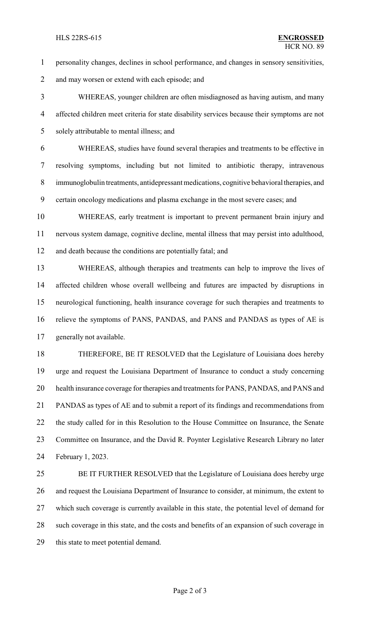#### HLS 22RS-615 **ENGROSSED**

- personality changes, declines in school performance, and changes in sensory sensitivities,
- 2 and may worsen or extend with each episode; and

 WHEREAS, younger children are often misdiagnosed as having autism, and many affected children meet criteria for state disability services because their symptoms are not solely attributable to mental illness; and

 WHEREAS, studies have found several therapies and treatments to be effective in resolving symptoms, including but not limited to antibiotic therapy, intravenous immunoglobulin treatments, antidepressant medications, cognitive behavioral therapies, and certain oncology medications and plasma exchange in the most severe cases; and

 WHEREAS, early treatment is important to prevent permanent brain injury and nervous system damage, cognitive decline, mental illness that may persist into adulthood, and death because the conditions are potentially fatal; and

 WHEREAS, although therapies and treatments can help to improve the lives of affected children whose overall wellbeing and futures are impacted by disruptions in neurological functioning, health insurance coverage for such therapies and treatments to relieve the symptoms of PANS, PANDAS, and PANS and PANDAS as types of AE is generally not available.

 THEREFORE, BE IT RESOLVED that the Legislature of Louisiana does hereby urge and request the Louisiana Department of Insurance to conduct a study concerning health insurance coverage for therapies and treatments for PANS, PANDAS, and PANS and PANDAS as types of AE and to submit a report of its findings and recommendations from the study called for in this Resolution to the House Committee on Insurance, the Senate 23 Committee on Insurance, and the David R. Poynter Legislative Research Library no later February 1, 2023.

 BE IT FURTHER RESOLVED that the Legislature of Louisiana does hereby urge and request the Louisiana Department of Insurance to consider, at minimum, the extent to which such coverage is currently available in this state, the potential level of demand for such coverage in this state, and the costs and benefits of an expansion of such coverage in this state to meet potential demand.